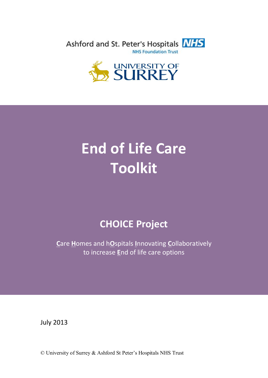Ashford and St. Peter's Hospitals NHS **NHS Foundation Trust** 



# **End of Life Care Toolkit**

## **CHOICE Project**

**C**are **H**omes and h**O**spitals **I**nnovating **C**ollaboratively to increase **E**nd of life care options

July 2013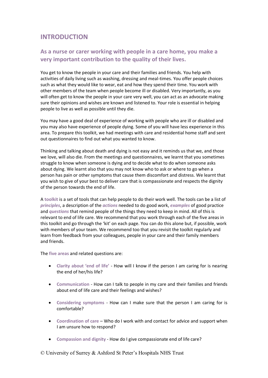## **INTRODUCTION**

## **As a nurse or carer working with people in a care home, you make a very important contribution to the quality of their lives.**

You get to know the people in your care and their families and friends. You help with activities of daily living such as washing, dressing and meal-times. You offer people choices such as what they would like to wear, eat and how they spend their time. You work with other members of the team when people become ill or disabled. Very importantly, as you will often get to know the people in your care very well, you can act as an advocate making sure their opinions and wishes are known and listened to. Your role is essential in helping people to live as well as possible until they die.

You may have a good deal of experience of working with people who are ill or disabled and you may also have experience of people dying. Some of you will have less experience in this area. To prepare this toolkit, we had meetings with care and residential home staff and sent out questionnaires to find out what you wanted to know.

Thinking and talking about death and dying is not easy and it reminds us that we, and those we love, will also die. From the meetings and questionnaires, we learnt that you sometimes struggle to know when someone is dying and to decide what to do when someone asks about dying. We learnt also that you may not know who to ask or where to go when a person has pain or other symptoms that cause them discomfort and distress. We learnt that you wish to give of your best to deliver care that is compassionate and respects the dignity of the person towards the end of life.

A **toolkit** is a set of tools that can help people to do their work well. The tools can be a list of *principles*, a description of the *actions* needed to do good work, *examples* of good practice and *questions* that remind people of the things they need to keep in mind. All of this is relevant to end of life care. We recommend that you work through each of the five areas in this toolkit and go through the 'kit' on each page. You can do this alone but, if possible, work with members of your team. We recommend too that you revisit the toolkit regularly and learn from feedback from your colleagues, people in your care and their family members and friends.

The **five areas** and related questions are:

- **Clarity about 'end of life'** How will I know if the person I am caring for is nearing the end of her/his life?
- **Communication** How can I talk to people in my care and their families and friends about end of life care and their feelings and wishes?
- **Considering symptoms** How can I make sure that the person I am caring for is comfortable?
- **Coordination of care** Who do I work with and contact for advice and support when I am unsure how to respond?
- **Compassion and dignity** How do I give compassionate end of life care?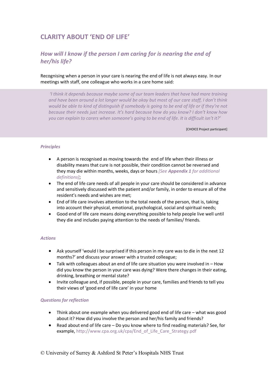## **CLARITY ABOUT 'END OF LIFE'**

## *How will I know if the person I am caring for is nearing the end of her/his life?*

Recognising when a person in your care is nearing the end of life is not always easy. In our meetings with staff, one colleague who works in a care home said:

*'I think it depends because maybe some of our team leaders that have had more training and have been around a lot longer would be okay but most of our care staff, I don't think would be able to kind of distinguish if somebody is going to be end of life or if they're not because their needs just increase. It's hard because how do you know? I don't know how you can explain to carers when someone's going to be end of life. It is difficult isn't it?'*

[CHOICE Project participant]

#### *Principles*

- A person is recognised as moving towards the end of life when their illness or disability means that cure is not possible, their condition cannot be reversed and they may die within months, weeks, days or hours *[See Appendix 1 for additional definitions]*;
- The end of life care needs of all people in your care should be considered in advance and sensitively discussed with the patient and/or family, in order to ensure all of the resident's needs and wishes are met;
- End of life care involves attention to the total needs of the person, that is, taking into account their physical, emotional, psychological, social and spiritual needs;
- Good end of life care means doing everything possible to help people live well until they die and includes paying attention to the needs of families/ friends.

#### *Actions*

- Ask yourself 'would I be surprised if this person in my care was to die in the next 12 months?' and discuss your answer with a trusted colleague;
- Talk with colleagues about an end of life care situation you were involved in How did you know the person in your care was dying? Were there changes in their eating, drinking, breathing or mental state?
- Invite colleague and, if possible, people in your care, families and friends to tell you their views of 'good end of life care' in your home

#### *Questions for reflection*

- Think about one example when you delivered good end of life care what was good about it? How did you involve the person and her/his family and friends?
- Read about end of life care Do you know where to find reading materials? See, for example, http://www.cpa.org.uk/cpa/End\_of\_Life\_Care\_Strategy.pdf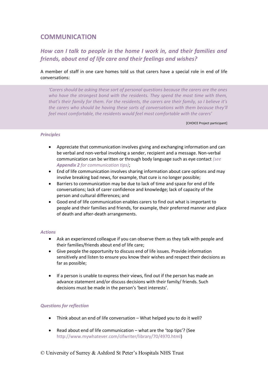## **COMMUNICATION**

## *How can I talk to people in the home I work in, and their families and friends, about end of life care and their feelings and wishes?*

#### A member of staff in one care homes told us that carers have a special role in end of life conversations:

*'Carers should be asking these sort of personal questions because the carers are the ones who have the strongest bond with the residents. They spend the most time with them, that's their family for them. For the residents, the carers are their family, so I believe it's the carers who should be having these sorts of conversations with them because they'll feel most comfortable, the residents would feel most comfortable with the carers'*

[CHOICE Project participant]

#### *Principles*

- Appreciate that communication involves giving and exchanging information and can be verbal and non-verbal involving a sender, recipient and a message. Non-verbal communication can be written or through body language such as eye contact *(see Appendix 2 for communication tips)*;
- End of life communication involves sharing information about care options and may involve breaking bad news, for example, that cure is no longer possible;
- Barriers to communication may be due to lack of time and space for end of life conversations; lack of carer confidence and knowledge; lack of capacity of the person and cultural differences; and
- Good end of life communication enables carers to find out what is important to people and their families and friends, for example, their preferred manner and place of death and after-death arrangements.

#### *Actions*

- Ask an experienced colleague if you can observe them as they talk with people and their families/friends about end of life care;
- Give people the opportunity to discuss end of life issues. Provide information sensitively and listen to ensure you know their wishes and respect their decisions as far as possible;
- If a person is unable to express their views, find out if the person has made an advance statement and/or discuss decisions with their family/ friends. Such decisions must be made in the person's 'best interests'.

#### *Questions for reflection*

- Think about an end of life conversation What helped you to do it well?
- Read about end of life communication what are the 'top tips'? (See http://www.mywhatever.com/cifwriter/library/70/4970.html)
- © University of Surrey & Ashford St Peter's Hospitals NHS Trust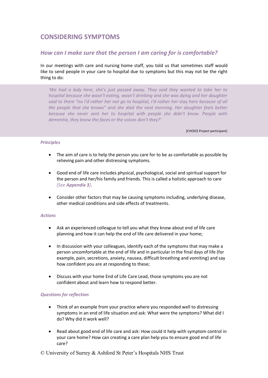## **CONSIDERING SYMPTOMS**

## *How can I make sure that the person I am caring for is comfortable?*

In our meetings with care and nursing home staff, you told us that sometimes staff would like to send people in your care to hospital due to symptoms but this may not be the right thing to do:

*'We had a lady here, she's just passed away. They said they wanted to take her to hospital because she wasn't eating, wasn't drinking and she was dying and her daughter said to them "no I'd rather her not go to hospital, I'd rather her stay here because of all the people that she knows" and she died the next morning. Her daughter feels better because she never sent her to hospital with people she didn't know. People with dementia, they know the faces or the voices don't they?'* 

[CHOICE Project participant]

#### *Principles*

- The aim of care is to help the person you care for to be as comfortable as possible by relieving pain and other distressing symptoms.
- Good end of life care includes physical, psychological, social and spiritual support for the person and her/his family and friends. This is called a holistic approach to care *[See Appendix 3]*.
- Consider other factors that may be causing symptoms including, underlying disease, other medical conditions and side effects of treatments.

#### *Actions*

- Ask an experienced colleague to tell you what they know about end of life care planning and how it can help the end of life care delivered in your home;
- In discussion with your colleagues, identify each of the symptoms that may make a person uncomfortable at the end of life and in particular in the final days of life (for example, pain, secretions, anxiety, nausea, difficult breathing and vomiting) and say how confident you are at responding to these;
- Discuss with your home End of Life Care Lead, those symptoms you are not confident about and learn how to respond better.

#### *Questions for reflection*

- Think of an example from your practice where you responded well to distressing symptoms in an end of life situation and ask: What were the symptoms? What did I do? Why did it work well?
- Read about good end of life care and ask: How could it help with symptom control in your care home? How can creating a care plan help you to ensure good end of life care?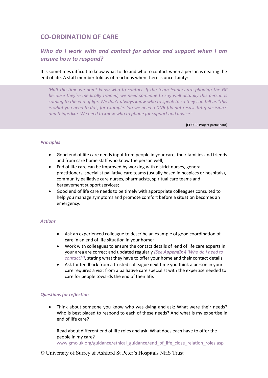## **CO-ORDINATION OF CARE**

## *Who do I work with and contact for advice and support when I am unsure how to respond?*

It is sometimes difficult to know what to do and who to contact when a person is nearing the end of life. A staff member told us of reactions when there is uncertainty:

*'Half the time we don't know who to contact. If the team leaders are phoning the GP because they're medically trained, we need someone to say well actually this person is coming to the end of life. We don't always know who to speak to so they can tell us "this is what you need to do", for example, 'do we need a DNR [do not resuscitate] decision?' and things like. We need to know who to phone for support and advice.'* 

[CHOICE Project participant]

#### *Principles*

- Good end of life care needs input from people in your care, their families and friends and from care home staff who know the person well;
- End of life care can be improved by working with district nurses, general practitioners, specialist palliative care teams (usually based in hospices or hospitals), community palliative care nurses, pharmacists, spiritual care teams and bereavement support services;
- Good end of life care needs to be timely with appropriate colleagues consulted to help you manage symptoms and promote comfort before a situation becomes an emergency.

#### *Actions*

- Ask an experienced colleague to describe an example of good coordination of care in an end of life situation in your home;
- Work with colleagues to ensure the contact details of end of life care experts in your area are correct and updated regularly *[See Appendix 4 'Who do I need to contact?']*, stating what they have to offer your home and their contact details
- Ask for feedback from a trusted colleague next time you think a person in your care requires a visit from a palliative care specialist with the expertise needed to care for people towards the end of their life.

#### *Questions for reflection*

 Think about someone you know who was dying and ask: What were their needs? Who is best placed to respond to each of these needs? And what is my expertise in end of life care?

Read about different end of life roles and ask: What does each have to offer the people in my care?

www.gmc-uk.org/guidance/ethical\_guidance/end\_of\_life\_close\_relation\_roles.asp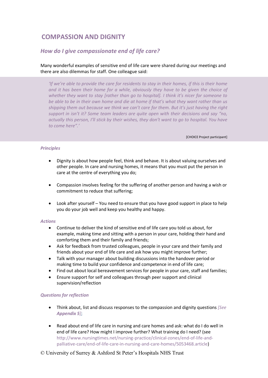## **COMPASSION AND DIGNITY**

## *How do I give compassionate end of life care?*

Many wonderful examples of sensitive end of life care were shared during our meetings and there are also dilemmas for staff. One colleague said:

*'If we're able to provide the care for residents to stay in their homes, if this is their home and it has been their home for a while, obviously they have to be given the choice of whether they want to stay [rather than go to hospital]. I think it's nicer for someone to be able to be in their own home and die at home if that's what they want rather than us shipping them out because we think we can't care for them. But it's just having the right support in isn't it? Some team leaders are quite open with their decisions and say "no, actually this person, I'll stick by their wishes, they don't want to go to hospital. You have to come here".'* 

[CHOICE Project participant]

#### *Principles*

- Dignity is about how people feel, think and behave. It is about valuing ourselves and other people. In care and nursing homes, it means that you must put the person in care at the centre of everything you do;
- Compassion involves feeling for the suffering of another person and having a wish or commitment to reduce that suffering;
- Look after yourself You need to ensure that you have good support in place to help you do your job well and keep you healthy and happy.

#### *Actions*

- Continue to deliver the kind of sensitive end of life care you told us about, for example, making time and sitting with a person in your care, holding their hand and comforting them and their family and friends;
- Ask for feedback from trusted colleagues, people in your care and their family and friends about your end of life care and ask how you might improve further;
- Talk with your manager about building discussions into the handover period or making time to build your confidence and competence in end of life care;
- Find out about local bereavement services for people in your care, staff and families;
- Ensure support for self and colleagues through peer support and clinical supervision/reflection

#### *Questions for reflection*

- Think about, list and discuss responses to the compassion and dignity questions *[See Appendix 5]*;
- Read about end of life care in nursing and care homes and ask: what do I do well in end of life care? How might I improve further? What training do I need? (see http://www.nursingtimes.net/nursing-practice/clinical-zones/end-of-life-andpalliative-care/end-of-life-care-in-nursing-and-care-homes/5053468.article)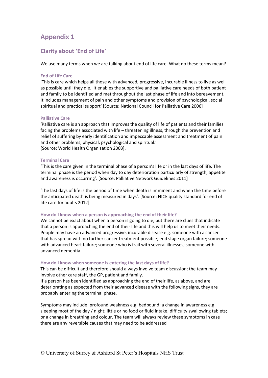## **Clarity about 'End of Life'**

We use many terms when we are talking about end of life care. What do these terms mean?

#### **End of Life Care**

'This is care which helps all those with advanced, progressive, incurable illness to live as well as possible until they die. It enables the supportive and palliative care needs of both patient and family to be identified and met throughout the last phase of life and into bereavement. It includes management of pain and other symptoms and provision of psychological, social spiritual and practical support' [Source: National Council for Palliative Care 2006]

#### **Palliative Care**

'Palliative care is an approach that improves the quality of life of patients and their families facing the problems associated with life – threatening illness, through the prevention and relief of suffering by early identification and impeccable assessment and treatment of pain and other problems, physical, psychological and spiritual.' [Source: World Health Organisation 2003].

#### **Terminal Care**

'This is the care given in the terminal phase of a person's life or in the last days of life. The terminal phase is the period when day to day deterioration particularly of strength, appetite and awareness is occurring'. [Source: Palliative Network Guidelines 2011]

'The last days of life is the period of time when death is imminent and when the time before the anticipated death is being measured in days'. [Source: NICE quality standard for end of life care for adults 2012]

#### **How do I know when a person is approaching the end of their life?**

We cannot be exact about when a person is going to die, but there are clues that indicate that a person is approaching the end of their life and this will help us to meet their needs. People may have an advanced progressive, incurable disease e.g. someone with a cancer that has spread with no further cancer treatment possible; end stage organ failure; someone with advanced heart failure; someone who is frail with several illnesses; someone with advanced dementia

#### **How do I know when someone is entering the last days of life?**

This can be difficult and therefore should always involve team discussion; the team may involve other care staff, the GP, patient and family.

If a person has been identified as approaching the end of their life, as above, and are deteriorating as expected from their advanced disease with the following signs, they are probably entering the terminal phase.

Symptoms may include: profound weakness e.g. bedbound; a change in awareness e.g. sleeping most of the day / night; little or no food or fluid intake; difficulty swallowing tablets; or a change in breathing and colour. The team will always review these symptoms in case there are any reversible causes that may need to be addressed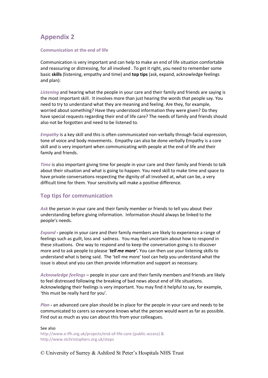#### **Communication at the end of life**

Communication is very important and can help to make an end of life situation comfortable and reassuring or distressing, for all involved . To get it right, you need to remember some basic **skills** (listening, empathy and time) and **top tips** (ask, expand, acknowledge feelings and plan):

*Listening* and hearing what the people in your care and their family and friends are saying is the most important skill. It involves more than just hearing the words that people say. You need to try to understand what they are meaning and feeling. Are they, for example, worried about something? Have they understood information they were given? Do they have special requests regarding their end of life care? The needs of family and friends should also not be forgotten and need to be listened to.

*Empathy* is a key skill and this is often communicated non-verbally through facial expression, tone of voice and body movements. Empathy can also be done verbally Empathy is a core skill and is very important when communicating with people at the end of life and their family and friends.

*Time* is also important giving time for people in your care and their family and friends to talk about their situation and what is going to happen. You need skill to make time and space to have private conversations respecting the dignity of all involved at, what can be, a very difficult time for them. Your sensitivity will make a positive difference.

#### **Top tips for communication**

*Ask* the person in your care and their family member or friends to tell you about their understanding before giving information. Information should always be linked to the people's needs.

*Expand -* people in your care and their family members are likely to experience a range of feelings such as guilt, loss and sadness. You may feel uncertain about how to respond in these situations. One way to respond and to keep the conversation going is to discover more and to ask people to please '*tell me more'.* You can then use your listening skills to understand what is being said. The 'tell me more' tool can help you understand what the issue is about and you can then provide information and support as necessary.

*Acknowledge feelings* – people in your care and their family members and friends are likely to feel distressed following the breaking of bad news about end of life situations. Acknowledging their feelings is very important. You may find it helpful to say, for example, 'this must be really hard for you'.

*Plan -* an advanced care plan should be in place for the people in your care and needs to be communicated to carers so everyone knows what the person would want as far as possible. Find out as much as you can about this from your colleagues.

See also http://www.e-lfh.org.uk/projects/end-of-life-care-(public-access) & http://www.stchristophers.org.uk/steps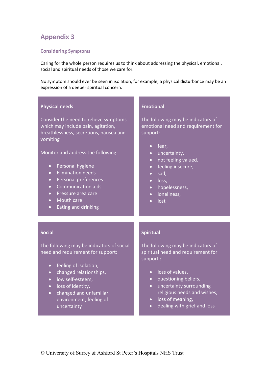#### **Considering Symptoms**

Caring for the whole person requires us to think about addressing the physical, emotional, social and spiritual needs of those we care for.

No symptom should ever be seen in isolation, for example, a physical disturbance may be an expression of a deeper spiritual concern.

| <b>Physical needs</b>                                                                                                                                                                                                                                                                                                                                                                                                              | <b>Emotional</b>                                                                                                                                                                                                                                                                                                                        |
|------------------------------------------------------------------------------------------------------------------------------------------------------------------------------------------------------------------------------------------------------------------------------------------------------------------------------------------------------------------------------------------------------------------------------------|-----------------------------------------------------------------------------------------------------------------------------------------------------------------------------------------------------------------------------------------------------------------------------------------------------------------------------------------|
| Consider the need to relieve symptoms<br>which may include pain, agitation,<br>breathlessness, secretions, nausea and<br>vomiting<br>Monitor and address the following:<br>Personal hygiene<br>$\bullet$<br><b>Elimination needs</b><br>$\bullet$<br>Personal preferences<br>$\bullet$<br><b>Communication aids</b><br>$\bullet$<br>Pressure area care<br>$\bullet$<br>Mouth care<br>$\bullet$<br>Eating and drinking<br>$\bullet$ | The following may be indicators of<br>emotional need and requirement for<br>support:<br>fear,<br>$\bullet$<br>uncertainty,<br>$\bullet$<br>not feeling valued,<br>$\bullet$<br>feeling insecure,<br>$\bullet$<br>sad,<br>$\bullet$<br>loss,<br>$\bullet$<br>hopelessness,<br>$\bullet$<br>loneliness,<br>$\bullet$<br>lost<br>$\bullet$ |
| <b>Social</b>                                                                                                                                                                                                                                                                                                                                                                                                                      | <b>Spiritual</b>                                                                                                                                                                                                                                                                                                                        |
| The following may be indicators of social<br>need and requirement for support:<br>feeling of isolation,<br>$\bullet$<br>changed relationships,<br>$\bullet$<br>low self-esteem,<br>$\bullet$<br>loss of identity,<br>$\bullet$<br>changed and unfamiliar<br>$\bullet$<br>environment, feeling of<br>uncertainty                                                                                                                    | The following may be indicators of<br>spiritual need and requirement for<br>support:<br>loss of values,<br>$\bullet$<br>questioning beliefs,<br>$\bullet$<br>uncertainty surrounding<br>$\bullet$<br>religious needs and wishes,<br>loss of meaning,<br>$\bullet$<br>dealing with grief and loss<br>$\bullet$                           |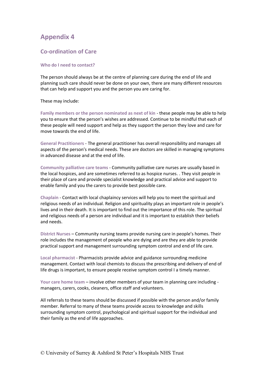### **Co-ordination of Care**

#### **Who do I need to contact?**

The person should always be at the centre of planning care during the end of life and planning such care should never be done on your own, there are many different resources that can help and support you and the person you are caring for.

These may include:

**Family members or the person nominated as next of kin** - these people may be able to help you to ensure that the person's wishes are addressed. Continue to be mindful that each of these people will need support and help as they support the person they love and care for move towards the end of life.

**General Practitioners** - The general practitioner has overall responsibility and manages all aspects of the person's medical needs. These are doctors are skilled in managing symptoms in advanced disease and at the end of life.

**Community palliative care teams** - Community palliative care nurses are usually based in the local hospices, and are sometimes referred to as hospice nurses. . They visit people in their place of care and provide specialist knowledge and practical advice and support to enable family and you the carers to provide best possible care.

**Chaplain** - Contact with local chaplaincy services will help you to meet the spiritual and religious needs of an individual. Religion and spirituality plays an important role in people's lives and in their death. It is important to find out the importance of this role. The spiritual and religious needs of a person are individual and it is important to establish their beliefs and needs.

**District Nurses** – Community nursing teams provide nursing care in people's homes. Their role includes the management of people who are dying and are they are able to provide practical support and management surrounding symptom control and end of life care.

**Local pharmacist** - Pharmacists provide advice and guidance surrounding medicine management. Contact with local chemists to discuss the prescribing and delivery of end of life drugs is important, to ensure people receive symptom control I a timely manner.

**Your care home team** – involve other members of your team in planning care including managers, carers, cooks, cleaners, office staff and volunteers.

All referrals to these teams should be discussed if possible with the person and/or family member. Referral to many of these teams provide access to knowledge and skills surrounding symptom control, psychological and spiritual support for the individual and their family as the end of life approaches.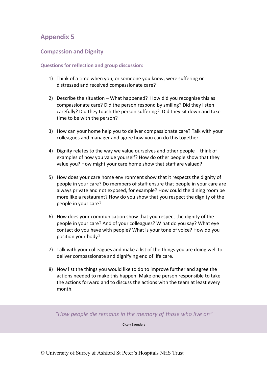## **Compassion and Dignity**

#### **Questions for reflection and group discussion:**

- 1) Think of a time when you, or someone you know, were suffering or distressed and received compassionate care?
- 2) Describe the situation What happened? How did you recognise this as compassionate care? Did the person respond by smiling? Did they listen carefully? Did they touch the person suffering? Did they sit down and take time to be with the person?
- 3) How can your home help you to deliver compassionate care? Talk with your colleagues and manager and agree how you can do this together.
- 4) Dignity relates to the way we value ourselves and other people think of examples of how you value yourself? How do other people show that they value you? How might your care home show that staff are valued?
- 5) How does your care home environment show that it respects the dignity of people in your care? Do members of staff ensure that people in your care are always private and not exposed, for example? How could the dining room be more like a restaurant? How do you show that you respect the dignity of the people in your care?
- 6) How does your communication show that you respect the dignity of the people in your care? And of your colleagues? W hat do you say? What eye contact do you have with people? What is your tone of voice? How do you position your body?
- 7) Talk with your colleagues and make a list of the things you are doing well to deliver compassionate and dignifying end of life care.
- 8) Now list the things you would like to do to improve further and agree the actions needed to make this happen. Make one person responsible to take the actions forward and to discuss the actions with the team at least every month.

*"How people die remains in the memory of those who live on"* 

Cicely Saunders